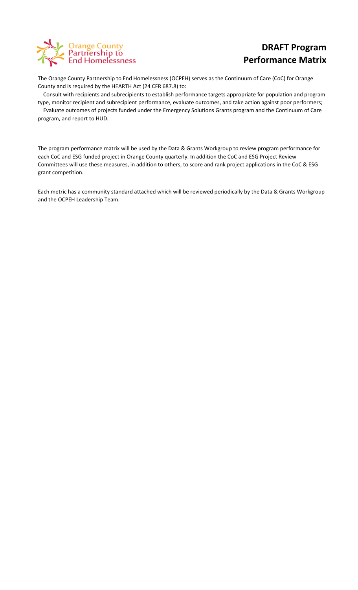

## **DRAFT Program Performance Matrix**

The Orange County Partnership to End Homelessness (OCPEH) serves as the Continuum of Care (CoC) for Orange County and is required by the HEARTH Act (24 CFR 687.8) to:

 Consult with recipients and subrecipients to establish performance targets appropriate for population and program type, monitor recipient and subrecipient performance, evaluate outcomes, and take action against poor performers;

 Evaluate outcomes of projects funded under the Emergency Solutions Grants program and the Continuum of Care program, and report to HUD.

The program performance matrix will be used by the Data & Grants Workgroup to review program performance for each CoC and ESG funded project in Orange County quarterly. In addition the CoC and ESG Project Review Committees will use these measures, in addition to others, to score and rank project applications in the CoC & ESG grant competition.

Each metric has a community standard attached which will be reviewed periodically by the Data & Grants Workgroup and the OCPEH Leadership Team.